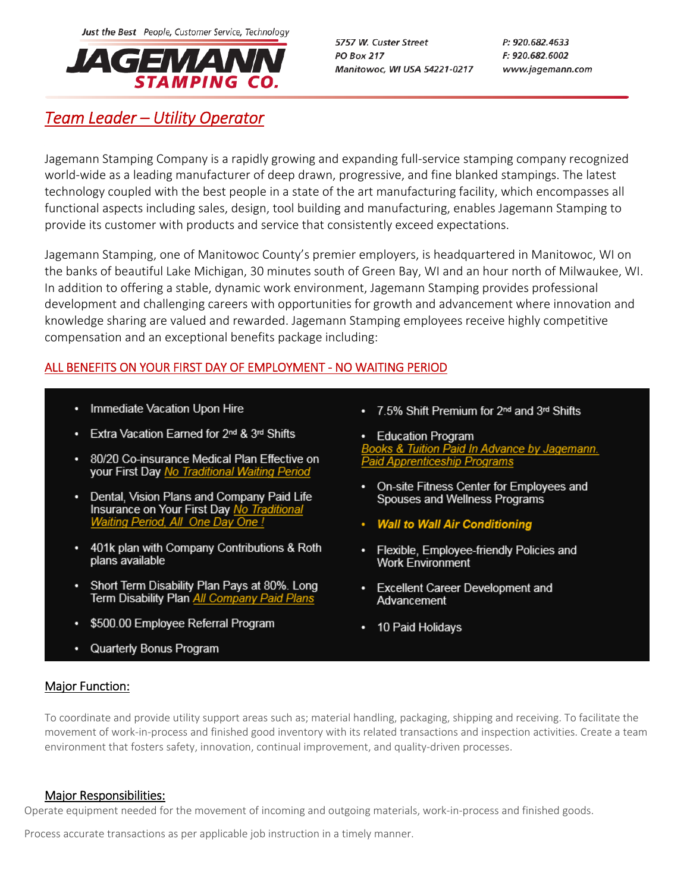Just the Best People, Customer Service, Technology



5757 W. Custer Street **PO Box 217** Manitowoc, WI USA 54221-0217 P: 920.682.4633 F: 920.682.6002 www.jagemann.com

# *Team Leader – Utility Operator*

Jagemann Stamping Company is a rapidly growing and expanding full‐service stamping company recognized world‐wide as a leading manufacturer of deep drawn, progressive, and fine blanked stampings. The latest technology coupled with the best people in a state of the art manufacturing facility, which encompasses all functional aspects including sales, design, tool building and manufacturing, enables Jagemann Stamping to provide its customer with products and service that consistently exceed expectations.

Jagemann Stamping, one of Manitowoc County's premier employers, is headquartered in Manitowoc, WI on the banks of beautiful Lake Michigan, 30 minutes south of Green Bay, WI and an hour north of Milwaukee, WI. In addition to offering a stable, dynamic work environment, Jagemann Stamping provides professional development and challenging careers with opportunities for growth and advancement where innovation and knowledge sharing are valued and rewarded. Jagemann Stamping employees receive highly competitive compensation and an exceptional benefits package including:

# ALL BENEFITS ON YOUR FIRST DAY OF EMPLOYMENT ‐ NO WAITING PERIOD

- Immediate Vacation Upon Hire
- Extra Vacation Earned for 2<sup>nd</sup> & 3<sup>rd</sup> Shifts
- 80/20 Co-insurance Medical Plan Effective on your First Day No Traditional Waiting Period
- Dental, Vision Plans and Company Paid Life Insurance on Your First Day No Traditiona Waiting Period, All One Day One !
- 401k plan with Company Contributions & Roth plans available
- Short Term Disability Plan Pays at 80%. Long Term Disability Plan All Company Paid Plans
- \$500.00 Employee Referral Program
- Superiority bornes in ognam
- 7.5% Shift Premium for 2<sup>nd</sup> and 3<sup>rd</sup> Shifts
- Education Program ooks & Tuition Paid In Advance by Jagemann. **Paid Apprenticeship Programs**
- On-site Fitness Center for Employees and Spouses and Wellness Programs
- Wall to Wall Air Conditioning
- Flexible, Employee-friendly Policies and **Work Environment**
- Excellent Career Development and Advancement
- 10 Paid Holidays

## **Major Function:**

To coordinate and provide utility support areas such as; material handling, packaging, shipping and receiving. To facilitate the movement of work‐in‐process and finished good inventory with its related transactions and inspection activities. Create a team environment that fosters safety, innovation, continual improvement, and quality‐driven processes.

## Major Responsibilities:

Operate equipment needed for the movement of incoming and outgoing materials, work-in-process and finished goods.

Process accurate transactions as per applicable job instruction in a timely manner.